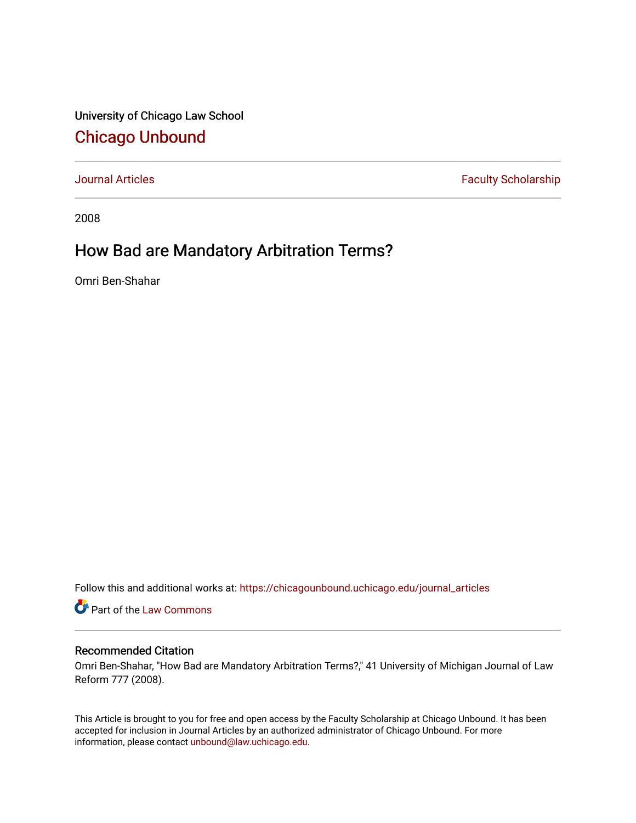University of Chicago Law School [Chicago Unbound](https://chicagounbound.uchicago.edu/)

[Journal Articles](https://chicagounbound.uchicago.edu/journal_articles) **Faculty Scholarship Faculty Scholarship** 

2008

## How Bad are Mandatory Arbitration Terms?

Omri Ben-Shahar

Follow this and additional works at: [https://chicagounbound.uchicago.edu/journal\\_articles](https://chicagounbound.uchicago.edu/journal_articles?utm_source=chicagounbound.uchicago.edu%2Fjournal_articles%2F1073&utm_medium=PDF&utm_campaign=PDFCoverPages) 

Part of the [Law Commons](http://network.bepress.com/hgg/discipline/578?utm_source=chicagounbound.uchicago.edu%2Fjournal_articles%2F1073&utm_medium=PDF&utm_campaign=PDFCoverPages)

## Recommended Citation

Omri Ben-Shahar, "How Bad are Mandatory Arbitration Terms?," 41 University of Michigan Journal of Law Reform 777 (2008).

This Article is brought to you for free and open access by the Faculty Scholarship at Chicago Unbound. It has been accepted for inclusion in Journal Articles by an authorized administrator of Chicago Unbound. For more information, please contact [unbound@law.uchicago.edu](mailto:unbound@law.uchicago.edu).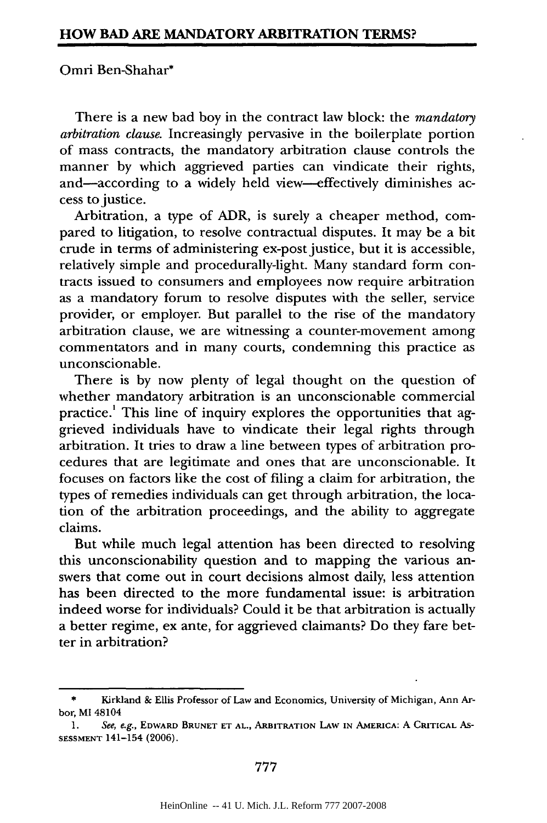## Omri Ben-Shahar\*

There is a new bad boy in the contract law block: the *mandatory arbitration clause.* Increasingly pervasive in the boilerplate portion of mass contracts, the mandatory arbitration clause controls the manner **by** which aggrieved parties can vindicate their rights, and-according to a widely held view--effectively diminishes access to justice.

Arbitration, a type of ADR, is surely a cheaper method, compared to litigation, to resolve contractual disputes. It may be a bit crude in terms of administering ex-post justice, but it is accessible, relatively simple and procedurally-light. Many standard form contracts issued to consumers and employees now require arbitration as a mandatory forum to resolve disputes with the seller, service provider, or employer. But parallel to the rise of the mandatory arbitration clause, we are witnessing a counter-movement among commentators and in many courts, condemning this practice as unconscionable.

There is **by** now plenty of legal thought on the question of whether mandatory arbitration is an unconscionable commercial practice.' This line of inquiry explores the opportunities that **ag**grieved individuals have to vindicate their legal rights through arbitration. It tries to draw a line between types of arbitration procedures that are legitimate and ones that are unconscionable. It focuses on factors like the cost of filing a claim for arbitration, the types of remedies individuals can get through arbitration, the location of the arbitration proceedings, and the ability to aggregate claims.

But while much legal attention has been directed to resolving this unconscionability question and to mapping the various answers that come out in court decisions almost daily, less attention has been directed to the more fundamental issue: is arbitration indeed worse for individuals? Could it be that arbitration is actually a better regime, ex ante, for aggrieved claimants? Do they fare better in arbitration?

**<sup>\*</sup>** Kirkland **&** Ellis Professor of Law and Economics, University of Michigan, Ann Arbor, **MI** 48104

*<sup>1.</sup>* See, e.g., **EDWARD BRUNET ET AL., ARBITRATION LAW IN AMERICA: A CRITICAL** As-**SESSMENT** 141-154 **(2006).**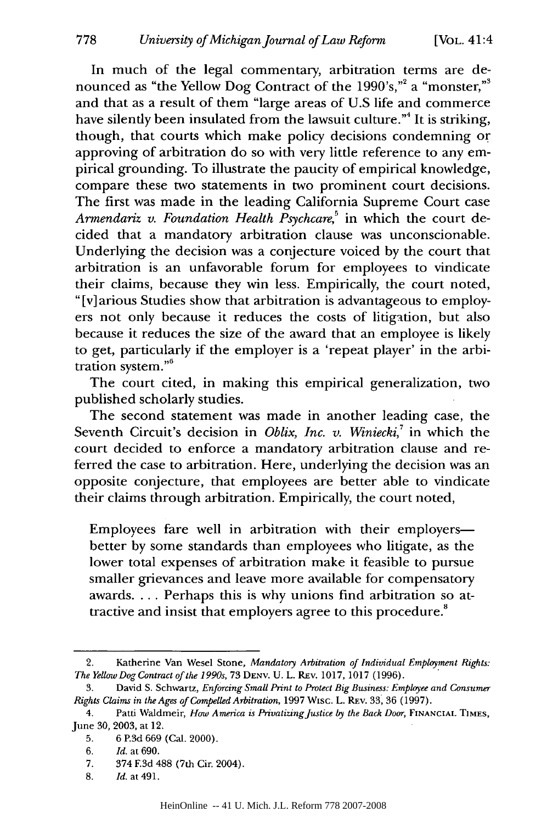In much of the legal commentary, arbitration terms are denounced as "the Yellow Dog Contract of the 1990's,"<sup>2</sup> a "monster,"<sup>3</sup> and that as a result of them "large areas of U.S life and commerce have silently been insulated from the lawsuit culture."<sup>4</sup> It is striking, though, that courts which make policy decisions condemning or approving of arbitration do so with very little reference to any empirical grounding. To illustrate the paucity of empirical knowledge, compare these two statements in two prominent court decisions. The first was made in the leading California Supreme Court case *Armendariz v. Foundation Health Psychcare*,<sup>5</sup> in which the court decided that a mandatory arbitration clause was unconscionable. Underlying the decision was a conjecture voiced by the court that arbitration is an unfavorable forum for employees to vindicate their claims, because they win less. Empirically, the court noted, " [v] arious Studies show that arbitration is advantageous to employers not only because it reduces the costs of litigation, but also because it reduces the size of the award that an employee is likely to get, particularly if the employer is a 'repeat player' in the arbitration system."'

The court cited, in making this empirical generalization, two published scholarly studies.

The second statement was made in another leading case, the Seventh Circuit's decision in *Oblix, Inc. v. Winiecki*,<sup>7</sup> in which the court decided to enforce a mandatory arbitration clause and referred the case to arbitration. Here, underlying the decision was an opposite conjecture, that employees are better able to vindicate their claims through arbitration. Empirically, the court noted,

Employees fare well in arbitration with their employersbetter by some standards than employees who litigate, as the lower total expenses of arbitration make it feasible to pursue smaller grievances and leave more available for compensatory awards. ... Perhaps this is why unions find arbitration so attractive and insist that employers agree to this procedure.<sup>8</sup>

<sup>2.</sup> Katherine Van Wesel Stone, *Mandatory Arbitration of Individual Employment Rights: The YellowDog Contract of the 1990s,* 73 **DENV.** U. L. REv. 1017, 1017 (1996).

<sup>3.</sup> David S. Schwartz, *Enforcing Small Print to Protect Big Business: Employee and Consumer Rights Claims* in *the Ages of Compelled Arbitration,* 1997 Wisc. L. REv. 33, 36 (1997).

<sup>4.</sup> Patti Waldmeir, *How America is PrivatizingJustice* **by** *the Back Door,* **FINANCIAL TIMES,** June 30, 2003, at 12.

<sup>5. 6</sup> **P.3d** 669 (Cal. 2000).

<sup>6.</sup> *Id.* at 690.

<sup>7. 374</sup> **F.3d** 488 (7th Cir. 2004).

<sup>8.</sup> *Id.* at 491.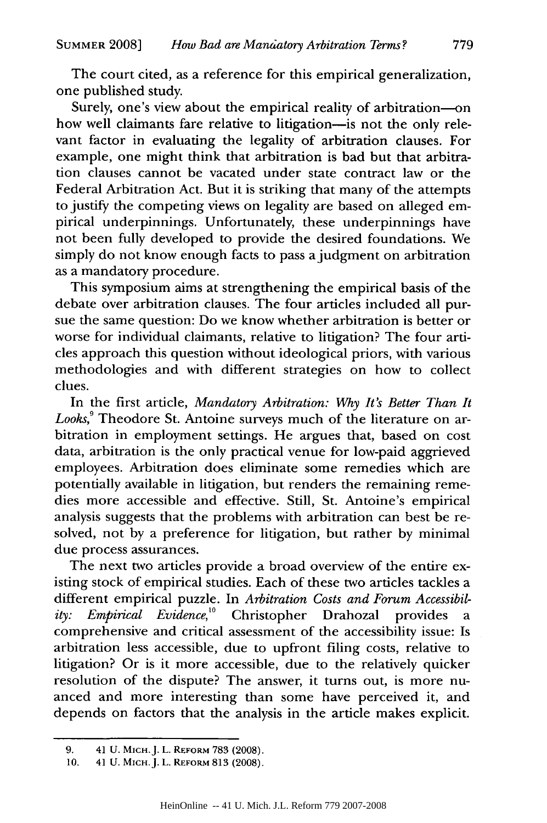The court cited, as a reference for this empirical generalization, one published study.

Surely, one's view about the empirical reality of arbitration-on how well claimants fare relative to litigation-is not the only relevant factor in evaluating the legality of arbitration clauses. For example, one might think that arbitration is bad but that arbitration clauses cannot be vacated under state contract law or the Federal Arbitration Act. But it is striking that many of the attempts to justify the competing views on legality are based on alleged empirical underpinnings. Unfortunately, these underpinnings have not been fully developed to provide the desired foundations. We simply do not know enough facts to pass a judgment on arbitration as a mandatory procedure.

This symposium aims at strengthening the empirical basis of the debate over arbitration clauses. The four articles included all pursue the same question: Do we know whether arbitration is better or worse for individual claimants, relative to litigation? The four articles approach this question without ideological priors, with various methodologies and with different strategies on how to collect clues.

In the first article, *Mandatory Arbitration: Why It's Better Than It Looks,<sup>9</sup>*Theodore St. Antoine surveys much of the literature on arbitration in employment settings. He argues that, based on cost data, arbitration is the only practical venue for low-paid aggrieved employees. Arbitration does eliminate some remedies which are potentially available in litigation, but renders the remaining remedies more accessible and effective. Still, St. Antoine's empirical analysis suggests that the problems with arbitration can best be resolved, not by a preference for litigation, but rather by minimal due process assurances.

The next two articles provide a broad overview of the entire existing stock of empirical studies. Each of these two articles tackles a different empirical puzzle. In *Arbitration Costs and Forum Accessibility: Empirical Evidence,'°* Christopher Drahozal provides a comprehensive and critical assessment of the accessibility issue: Is arbitration less accessible, due to upfront filing costs, relative to litigation? Or is it more accessible, due to the relatively quicker resolution of the dispute? The answer, it turns out, is more nuanced and more interesting than some have perceived it, and depends on factors that the analysis in the article makes explicit.

<sup>9. 41</sup> U. MICH.J. L. REFORM 783 (2008).

<sup>10. 41</sup> U. MICH.J. L. **REFORM** 813 (2008).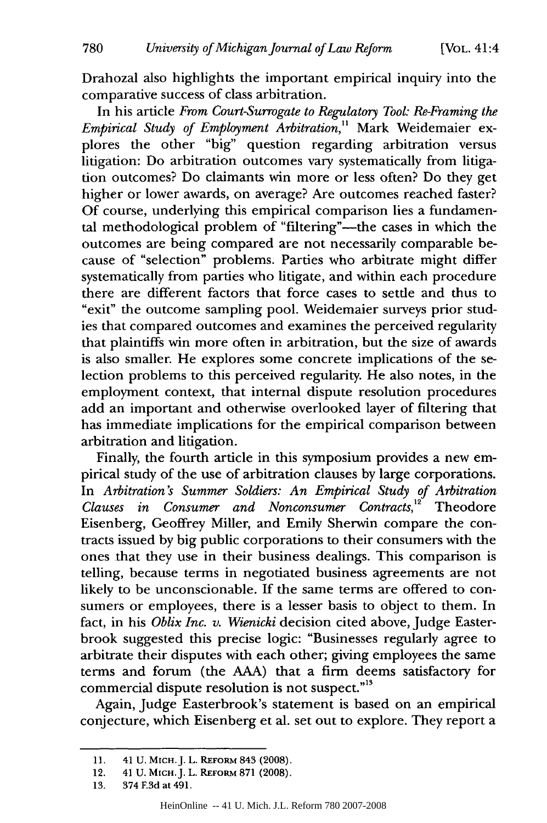[VOL. 41:4

Drahozal also highlights the important empirical inquiry into the comparative success of class arbitration.

In his article *From Court-Surrogate to Regulatory Tool: Re-Framing the Empirical Study of Employment Arbitration,"* Mark Weidemaier explores the other "big" question regarding arbitration versus litigation: Do arbitration outcomes vary systematically from litigation outcomes? Do claimants win more or less often? Do they get higher or lower awards, on average? Are outcomes reached faster? Of course, underlying this empirical comparison lies a fundamental methodological problem of "filtering"—the cases in which the outcomes are being compared are not necessarily comparable because of "selection" problems. Parties who arbitrate might differ systematically from parties who litigate, and within each procedure there are different factors that force cases to settle and thus to "exit" the outcome sampling pool. Weidemaier surveys prior studies that compared outcomes and examines the perceived regularity that plaintiffs win more often in arbitration, but the size of awards is also smaller. He explores some concrete implications of the selection problems to this perceived regularity. He also notes, in the employment context, that internal dispute resolution procedures add an important and otherwise overlooked layer of filtering that has immediate implications for the empirical comparison between arbitration and litigation.

Finally, the fourth article in this symposium provides a new empirical study of the use of arbitration clauses by large corporations. In *Arbitration's Summer Soldiers: An Empirical Study of Arbitration Clauses in Consumer and Nonconsumer Contracts*,<sup>12</sup> Theodore Eisenberg, Geoffrey Miller, and Emily Sherwin compare the contracts issued by big public corporations to their consumers with the ones that they use in their business dealings. This comparison is telling, because terms in negotiated business agreements are not likely to be unconscionable. If the same terms are offered to consumers or employees, there is a lesser basis to object to them. In fact, in his *Oblix Inc. v. Wienicki* decision cited above, Judge Easterbrook suggested this precise logic: "Businesses regularly agree to arbitrate their disputes with each other; giving employees the same terms and forum (the AAA) that a firm deems satisfactory for commercial dispute resolution is not suspect."<sup>13</sup>

Again, Judge Easterbrook's statement is based on an empirical conjecture, which Eisenberg et al. set out to explore. They report a

<sup>11. 41</sup> U. Місн. J. L. REFORM 843 (2008).

<sup>12. 41</sup> U. MICH. J. L. REFORM 871 (2008).

<sup>13. 374</sup> **F.3d** at 491.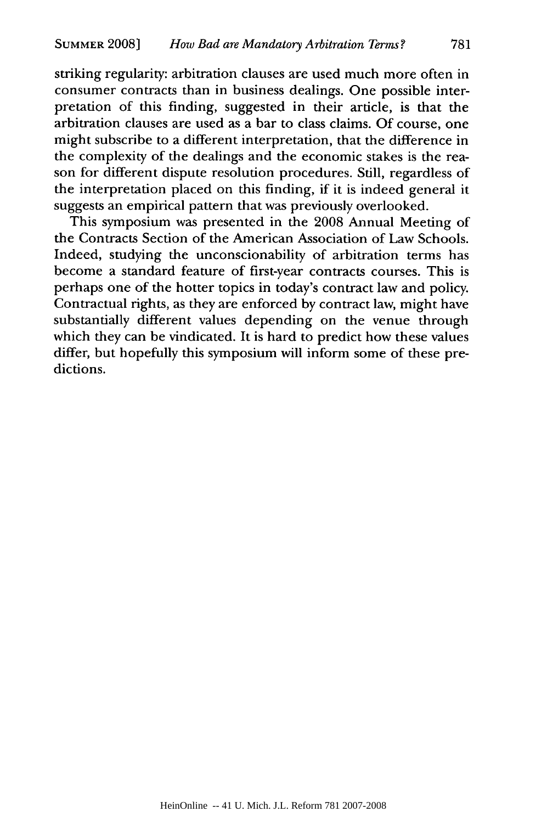striking regularity: arbitration clauses are used much more often in consumer contracts than in business dealings. One possible interpretation of this finding, suggested in their article, is that the arbitration clauses are used as a bar to class claims. Of course, one might subscribe to a different interpretation, that the difference in the complexity of the dealings and the economic stakes is the reason for different dispute resolution procedures. Still, regardless of the interpretation placed on this finding, if it is indeed general it suggests an empirical pattern that was previously overlooked.

This symposium was presented in the 2008 Annual Meeting of the Contracts Section of the American Association of Law Schools. Indeed, studying the unconscionability of arbitration terms has become a standard feature of first-year contracts courses. This is perhaps one of the hotter topics in today's contract law and policy. Contractual rights, as they are enforced by contract law, might have substantially different values depending on the venue through which they can be vindicated. It is hard to predict how these values differ, but hopefully this symposium will inform some of these predictions.

781